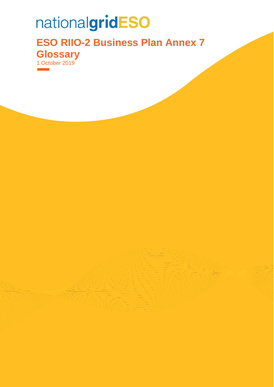## nationalgridESO

**ESO RIIO-2 Business Plan Annex 7 Glossary** 1 October 2019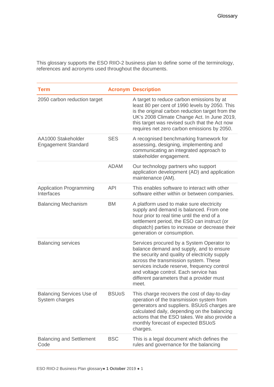This glossary supports the ESO RIIO-2 business plan to define some of the terminology, references and acronyms used throughout the documents.

| <b>Term</b>                                        |              | <b>Acronym Description</b>                                                                                                                                                                                                                                                                                                     |
|----------------------------------------------------|--------------|--------------------------------------------------------------------------------------------------------------------------------------------------------------------------------------------------------------------------------------------------------------------------------------------------------------------------------|
| 2050 carbon reduction target                       |              | A target to reduce carbon emissions by at<br>least 80 per cent of 1990 levels by 2050. This<br>is the original carbon reduction target from the<br>UK's 2008 Climate Change Act. In June 2019,<br>this target was revised such that the Act now<br>requires net zero carbon emissions by 2050.                                 |
| AA1000 Stakeholder<br><b>Engagement Standard</b>   | <b>SES</b>   | A recognised benchmarking framework for<br>assessing, designing, implementing and<br>communicating an integrated approach to<br>stakeholder engagement.                                                                                                                                                                        |
|                                                    | ADAM         | Our technology partners who support<br>application development (AD) and application<br>maintenance (AM).                                                                                                                                                                                                                       |
| <b>Application Programming</b><br>Interfaces       | <b>API</b>   | This enables software to interact with other<br>software either within or between companies.                                                                                                                                                                                                                                   |
| <b>Balancing Mechanism</b>                         | <b>BM</b>    | A platform used to make sure electricity<br>supply and demand is balanced. From one<br>hour prior to real time until the end of a<br>settlement period, the ESO can instruct (or<br>dispatch) parties to increase or decrease their<br>generation or consumption.                                                              |
| <b>Balancing services</b>                          |              | Services procured by a System Operator to<br>balance demand and supply, and to ensure<br>the security and quality of electricity supply<br>across the transmission system. These<br>services include reserve, frequency control<br>and voltage control. Each service has<br>different parameters that a provider must<br>meet. |
| <b>Balancing Services Use of</b><br>System charges | <b>BSUoS</b> | This charge recovers the cost of day-to-day<br>operation of the transmission system from<br>generators and suppliers. BSUoS charges are<br>calculated daily, depending on the balancing<br>actions that the ESO takes. We also provide a<br>monthly forecast of expected BSUoS<br>charges.                                     |
| <b>Balancing and Settlement</b><br>Code            | <b>BSC</b>   | This is a legal document which defines the<br>rules and governance for the balancing                                                                                                                                                                                                                                           |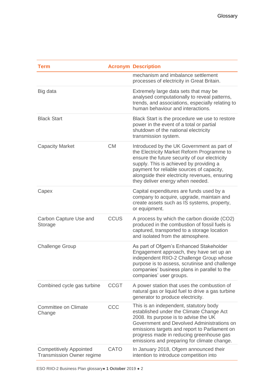| <b>Term</b>                                                        |             | <b>Acronym Description</b>                                                                                                                                                                                                                                                                                              |
|--------------------------------------------------------------------|-------------|-------------------------------------------------------------------------------------------------------------------------------------------------------------------------------------------------------------------------------------------------------------------------------------------------------------------------|
|                                                                    |             | mechanism and imbalance settlement<br>processes of electricity in Great Britain.                                                                                                                                                                                                                                        |
| Big data                                                           |             | Extremely large data sets that may be<br>analysed computationally to reveal patterns,<br>trends, and associations, especially relating to<br>human behaviour and interactions.                                                                                                                                          |
| <b>Black Start</b>                                                 |             | Black Start is the procedure we use to restore<br>power in the event of a total or partial<br>shutdown of the national electricity<br>transmission system.                                                                                                                                                              |
| <b>Capacity Market</b>                                             | <b>CM</b>   | Introduced by the UK Government as part of<br>the Electricity Market Reform Programme to<br>ensure the future security of our electricity<br>supply. This is achieved by providing a<br>payment for reliable sources of capacity,<br>alongside their electricity revenues, ensuring<br>they deliver energy when needed. |
| Capex                                                              |             | Capital expenditures are funds used by a<br>company to acquire, upgrade, maintain and<br>create assets such as IS systems, property,<br>or equipment.                                                                                                                                                                   |
| Carbon Capture Use and<br>Storage                                  | <b>CCUS</b> | A process by which the carbon dioxide (CO2)<br>produced in the combustion of fossil fuels is<br>captured, transported to a storage location<br>and isolated from the atmosphere.                                                                                                                                        |
| <b>Challenge Group</b>                                             |             | As part of Ofgem's Enhanced Stakeholder<br>Engagement approach, they have set up an<br>independent RIIO-2 Challenge Group whose<br>purpose is to assess, scrutinise and challenge<br>companies' business plans in parallel to the<br>companies' user groups.                                                            |
| Combined cycle gas turbine                                         | <b>CCGT</b> | A power station that uses the combustion of<br>natural gas or liquid fuel to drive a gas turbine<br>generator to produce electricity.                                                                                                                                                                                   |
| Committee on Climate<br>Change                                     | CCC         | This is an independent, statutory body<br>established under the Climate Change Act<br>2008. Its purpose is to advise the UK<br>Government and Devolved Administrations on<br>emissions targets and report to Parliament on<br>progress made in reducing greenhouse gas<br>emissions and preparing for climate change.   |
| <b>Competitively Appointed</b><br><b>Transmission Owner regime</b> | <b>CATO</b> | In January 2018, Ofgem announced their<br>intention to introduce competition into                                                                                                                                                                                                                                       |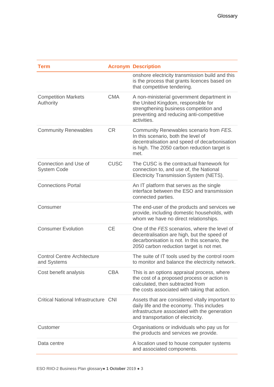| <b>Term</b>                                       |             | <b>Acronym Description</b>                                                                                                                                                               |
|---------------------------------------------------|-------------|------------------------------------------------------------------------------------------------------------------------------------------------------------------------------------------|
|                                                   |             | onshore electricity transmission build and this<br>is the process that grants licences based on<br>that competitive tendering.                                                           |
| <b>Competition Markets</b><br>Authority           | <b>CMA</b>  | A non-ministerial government department in<br>the United Kingdom, responsible for<br>strengthening business competition and<br>preventing and reducing anti-competitive<br>activities.   |
| <b>Community Renewables</b>                       | <b>CR</b>   | Community Renewables scenario from FES.<br>In this scenario, both the level of<br>decentralisation and speed of decarbonisation<br>is high. The 2050 carbon reduction target is<br>met.  |
| Connection and Use of<br><b>System Code</b>       | <b>CUSC</b> | The CUSC is the contractual framework for<br>connection to, and use of, the National<br>Electricity Transmission System (NETS).                                                          |
| <b>Connections Portal</b>                         |             | An IT platform that serves as the single<br>interface between the ESO and transmission<br>connected parties.                                                                             |
| Consumer                                          |             | The end-user of the products and services we<br>provide, including domestic households, with<br>whom we have no direct relationships.                                                    |
| <b>Consumer Evolution</b>                         | <b>CE</b>   | One of the FES scenarios, where the level of<br>decentralisation are high, but the speed of<br>decarbonisation is not. In this scenario, the<br>2050 carbon reduction target is not met. |
| <b>Control Centre Architecture</b><br>and Systems |             | The suite of IT tools used by the control room<br>to monitor and balance the electricity network.                                                                                        |
| Cost benefit analysis                             | <b>CBA</b>  | This is an options appraisal process, where<br>the cost of a proposed process or action is<br>calculated, then subtracted from<br>the costs associated with taking that action.          |
| <b>Critical National Infrastructure CNI</b>       |             | Assets that are considered vitally important to<br>daily life and the economy. This includes<br>infrastructure associated with the generation<br>and transportation of electricity.      |
| Customer                                          |             | Organisations or individuals who pay us for<br>the products and services we provide.                                                                                                     |
| Data centre                                       |             | A location used to house computer systems<br>and associated components.                                                                                                                  |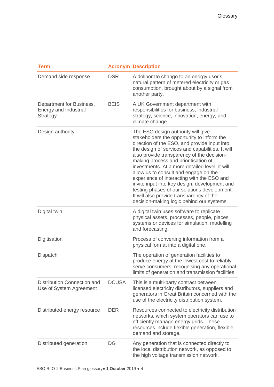| <b>Term</b>                                                   |              | <b>Acronym Description</b>                                                                                                                                                                                                                                                                                                                                                                                                                                                                                                                                                                                    |
|---------------------------------------------------------------|--------------|---------------------------------------------------------------------------------------------------------------------------------------------------------------------------------------------------------------------------------------------------------------------------------------------------------------------------------------------------------------------------------------------------------------------------------------------------------------------------------------------------------------------------------------------------------------------------------------------------------------|
| Demand side response                                          | <b>DSR</b>   | A deliberate change to an energy user's<br>natural pattern of metered electricity or gas<br>consumption, brought about by a signal from<br>another party.                                                                                                                                                                                                                                                                                                                                                                                                                                                     |
| Department for Business,<br>Energy and Industrial<br>Strategy | <b>BEIS</b>  | A UK Government department with<br>responsibilities for business, industrial<br>strategy, science, innovation, energy, and<br>climate change.                                                                                                                                                                                                                                                                                                                                                                                                                                                                 |
| Design authority                                              |              | The ESO design authority will give<br>stakeholders the opportunity to inform the<br>direction of the ESO, and provide input into<br>the design of services and capabilities. It will<br>also provide transparency of the decision-<br>making process and prioritisation of<br>investments. At a more detailed level, it will<br>allow us to consult and engage on the<br>experience of interacting with the ESO and<br>invite input into key design, development and<br>testing phases of our solutions development.<br>It will also provide transparency of the<br>decision-making logic behind our systems. |
| Digital twin                                                  |              | A digital twin uses software to replicate<br>physical assets, processes, people, places,<br>systems or devices for simulation, modelling<br>and forecasting.                                                                                                                                                                                                                                                                                                                                                                                                                                                  |
| Digitisation                                                  |              | Process of converting information from a<br>physical format into a digital one.                                                                                                                                                                                                                                                                                                                                                                                                                                                                                                                               |
| <b>Dispatch</b>                                               |              | The operation of generation facilities to<br>produce energy at the lowest cost to reliably<br>serve consumers, recognising any operational<br>limits of generation and transmission facilities.                                                                                                                                                                                                                                                                                                                                                                                                               |
| Distribution Connection and<br>Use of System Agreement        | <b>DCUSA</b> | This is a multi-party contract between<br>licensed electricity distributors, suppliers and<br>generators in Great Britain concerned with the<br>use of the electricity distribution system.                                                                                                                                                                                                                                                                                                                                                                                                                   |
| Distributed energy resource                                   | <b>DER</b>   | Resources connected to electricity distribution<br>networks, which system operators can use to<br>efficiently manage energy grids. These<br>resources include flexible generation, flexible<br>demand and storage.                                                                                                                                                                                                                                                                                                                                                                                            |
| Distributed generation                                        | DG           | Any generation that is connected directly to<br>the local distribution network, as opposed to<br>the high voltage transmission network.                                                                                                                                                                                                                                                                                                                                                                                                                                                                       |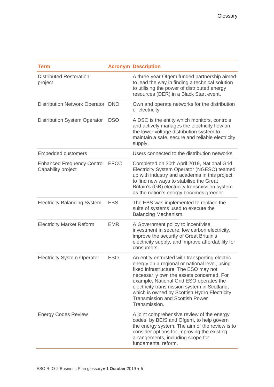| <b>Term</b>                                             |             | <b>Acronym Description</b>                                                                                                                                                                                                                                                                                                                                                                  |
|---------------------------------------------------------|-------------|---------------------------------------------------------------------------------------------------------------------------------------------------------------------------------------------------------------------------------------------------------------------------------------------------------------------------------------------------------------------------------------------|
| <b>Distributed Restoration</b><br>project               |             | A three-year Ofgem funded partnership aimed<br>to lead the way in finding a technical solution<br>to utilising the power of distributed energy<br>resources (DER) in a Black Start event.                                                                                                                                                                                                   |
| Distribution Network Operator DNO                       |             | Own and operate networks for the distribution<br>of electricity.                                                                                                                                                                                                                                                                                                                            |
| <b>Distribution System Operator</b>                     | <b>DSO</b>  | A DSO is the entity which monitors, controls<br>and actively manages the electricity flow on<br>the lower voltage distribution system to<br>maintain a safe, secure and reliable electricity<br>supply.                                                                                                                                                                                     |
| <b>Embedded customers</b>                               |             | Users connected to the distribution networks.                                                                                                                                                                                                                                                                                                                                               |
| <b>Enhanced Frequency Control</b><br>Capability project | <b>EFCC</b> | Completed on 30th April 2019, National Grid<br>Electricity System Operator (NGESO) teamed<br>up with industry and academia in this project<br>to find new ways to stabilise the Great<br>Britain's (GB) electricity transmission system<br>as the nation's energy becomes greener.                                                                                                          |
| <b>Electricity Balancing System</b>                     | <b>EBS</b>  | The EBS was implemented to replace the<br>suite of systems used to execute the<br>Balancing Mechanism.                                                                                                                                                                                                                                                                                      |
| <b>Electricity Market Reform</b>                        | <b>EMR</b>  | A Government policy to incentivise<br>investment in secure, low carbon electricity,<br>improve the security of Great Britain's<br>electricity supply, and improve affordability for<br>consumers.                                                                                                                                                                                           |
| <b>Electricity System Operator</b>                      | <b>ESO</b>  | An entity entrusted with transporting electric<br>energy on a regional or national level, using<br>fixed infrastructure. The ESO may not<br>necessarily own the assets concerned. For<br>example, National Grid ESO operates the<br>electricity transmission system in Scotland,<br>which is owned by Scottish Hydro Electricity<br><b>Transmission and Scottish Power</b><br>Transmission. |
| <b>Energy Codes Review</b>                              |             | A joint comprehensive review of the energy<br>codes, by BEIS and Ofgem, to help govern<br>the energy system. The aim of the review is to<br>consider options for improving the existing<br>arrangements, including scope for<br>fundamental reform.                                                                                                                                         |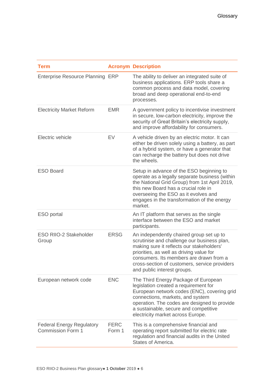| <b>Term</b>                                                  |                       | <b>Acronym Description</b>                                                                                                                                                                                                                                                                                  |
|--------------------------------------------------------------|-----------------------|-------------------------------------------------------------------------------------------------------------------------------------------------------------------------------------------------------------------------------------------------------------------------------------------------------------|
| Enterprise Resource Planning ERP                             |                       | The ability to deliver an integrated suite of<br>business applications. ERP tools share a<br>common process and data model, covering<br>broad and deep operational end-to-end<br>processes.                                                                                                                 |
| <b>Electricity Market Reform</b>                             | <b>EMR</b>            | A government policy to incentivise investment<br>in secure, low-carbon electricity, improve the<br>security of Great Britain's electricity supply,<br>and improve affordability for consumers.                                                                                                              |
| Electric vehicle                                             | EV                    | A vehicle driven by an electric motor. It can<br>either be driven solely using a battery, as part<br>of a hybrid system, or have a generator that<br>can recharge the battery but does not drive<br>the wheels.                                                                                             |
| <b>ESO Board</b>                                             |                       | Setup in advance of the ESO beginning to<br>operate as a legally separate business (within<br>the National Grid Group) from 1st April 2019,<br>this new Board has a crucial role in<br>overseeing the ESO as it evolves and<br>engages in the transformation of the energy<br>market.                       |
| ESO portal                                                   |                       | An IT platform that serves as the single<br>interface between the ESO and market<br>participants.                                                                                                                                                                                                           |
| <b>ESO RIIO-2 Stakeholder</b><br>Group                       | <b>ERSG</b>           | An independently chaired group set up to<br>scrutinise and challenge our business plan,<br>making sure it reflects our stakeholders'<br>priorities, as well as driving value for<br>consumers. Its members are drawn from a<br>cross-section of customers, service providers<br>and public interest groups. |
| European network code                                        | <b>ENC</b>            | The Third Energy Package of European<br>legislation created a requirement for<br>European network codes (ENC), covering grid<br>connections, markets, and system<br>operation. The codes are designed to provide<br>a sustainable, secure and competitive<br>electricity market across Europe.              |
| <b>Federal Energy Regulatory</b><br><b>Commission Form 1</b> | <b>FERC</b><br>Form 1 | This is a comprehensive financial and<br>operating report submitted for electric rate<br>regulation and financial audits in the United<br>States of America.                                                                                                                                                |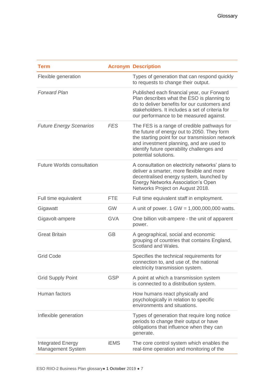| <b>Term</b>                                          |             | <b>Acronym Description</b>                                                                                                                                                                                                                                      |
|------------------------------------------------------|-------------|-----------------------------------------------------------------------------------------------------------------------------------------------------------------------------------------------------------------------------------------------------------------|
| Flexible generation                                  |             | Types of generation that can respond quickly<br>to requests to change their output.                                                                                                                                                                             |
| <b>Forward Plan</b>                                  |             | Published each financial year, our Forward<br>Plan describes what the ESO is planning to<br>do to deliver benefits for our customers and<br>stakeholders. It includes a set of criteria for<br>our performance to be measured against.                          |
| <b>Future Energy Scenarios</b>                       | <b>FES</b>  | The FES is a range of credible pathways for<br>the future of energy out to 2050. They form<br>the starting point for our transmission network<br>and investment planning, and are used to<br>identify future operability challenges and<br>potential solutions. |
| <b>Future Worlds consultation</b>                    |             | A consultation on electricity networks' plans to<br>deliver a smarter, more flexible and more<br>decentralised energy system, launched by<br><b>Energy Networks Association's Open</b><br>Networks Project on August 2018.                                      |
| Full time equivalent                                 | <b>FTE</b>  | Full time equivalent staff in employment.                                                                                                                                                                                                                       |
| Gigawatt                                             | <b>GW</b>   | A unit of power. 1 GW = 1,000,000,000 watts.                                                                                                                                                                                                                    |
| Gigavolt-ampere                                      | <b>GVA</b>  | One billion volt-ampere - the unit of apparent<br>power.                                                                                                                                                                                                        |
| <b>Great Britain</b>                                 | <b>GB</b>   | A geographical, social and economic<br>grouping of countries that contains England,<br>Scotland and Wales.                                                                                                                                                      |
| <b>Grid Code</b>                                     |             | Specifies the technical requirements for<br>connection to, and use of, the national<br>electricity transmission system.                                                                                                                                         |
| <b>Grid Supply Point</b>                             | <b>GSP</b>  | A point at which a transmission system<br>is connected to a distribution system.                                                                                                                                                                                |
| Human factors                                        |             | How humans react physically and<br>psychologically in relation to specific<br>environments and situations.                                                                                                                                                      |
| Inflexible generation                                |             | Types of generation that require long notice<br>periods to change their output or have<br>obligations that influence when they can<br>generate.                                                                                                                 |
| <b>Integrated Energy</b><br><b>Management System</b> | <b>iEMS</b> | The core control system which enables the<br>real-time operation and monitoring of the                                                                                                                                                                          |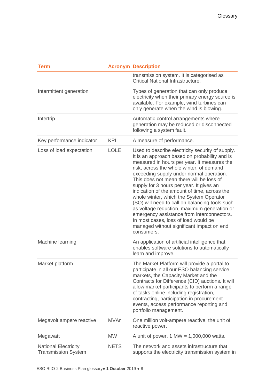| <b>Term</b>                                               |             | <b>Acronym Description</b>                                                                                                                                                                                                                                                                                                                                                                                                                                                                                                                                                                                                                                                    |
|-----------------------------------------------------------|-------------|-------------------------------------------------------------------------------------------------------------------------------------------------------------------------------------------------------------------------------------------------------------------------------------------------------------------------------------------------------------------------------------------------------------------------------------------------------------------------------------------------------------------------------------------------------------------------------------------------------------------------------------------------------------------------------|
|                                                           |             | transmission system. It is categorised as<br>Critical National Infrastructure.                                                                                                                                                                                                                                                                                                                                                                                                                                                                                                                                                                                                |
| Intermittent generation                                   |             | Types of generation that can only produce<br>electricity when their primary energy source is<br>available. For example, wind turbines can<br>only generate when the wind is blowing.                                                                                                                                                                                                                                                                                                                                                                                                                                                                                          |
| Intertrip                                                 |             | Automatic control arrangements where<br>generation may be reduced or disconnected<br>following a system fault.                                                                                                                                                                                                                                                                                                                                                                                                                                                                                                                                                                |
| Key performance indicator                                 | <b>KPI</b>  | A measure of performance.                                                                                                                                                                                                                                                                                                                                                                                                                                                                                                                                                                                                                                                     |
| Loss of load expectation                                  | <b>LOLE</b> | Used to describe electricity security of supply.<br>It is an approach based on probability and is<br>measured in hours per year. It measures the<br>risk, across the whole winter, of demand<br>exceeding supply under normal operation.<br>This does not mean there will be loss of<br>supply for 3 hours per year. It gives an<br>indication of the amount of time, across the<br>whole winter, which the System Operator<br>(SO) will need to call on balancing tools such<br>as voltage reduction, maximum generation or<br>emergency assistance from interconnectors.<br>In most cases, loss of load would be<br>managed without significant impact on end<br>consumers. |
| Machine learning                                          |             | An application of artificial intelligence that<br>enables software solutions to automatically<br>learn and improve.                                                                                                                                                                                                                                                                                                                                                                                                                                                                                                                                                           |
| Market platform                                           |             | The Market Platform will provide a portal to<br>participate in all our ESO balancing service<br>markets, the Capacity Market and the<br>Contracts for Difference (CfD) auctions. It will<br>allow market participants to perform a range<br>of tasks online including registration,<br>contracting, participation in procurement<br>events, access performance reporting and<br>portfolio management.                                                                                                                                                                                                                                                                         |
| Megavolt ampere reactive                                  | <b>MVAr</b> | One million volt-ampere reactive, the unit of<br>reactive power.                                                                                                                                                                                                                                                                                                                                                                                                                                                                                                                                                                                                              |
| Megawatt                                                  | <b>MW</b>   | A unit of power. $1 \text{ MW} = 1,000,000 \text{ watts}$ .                                                                                                                                                                                                                                                                                                                                                                                                                                                                                                                                                                                                                   |
| <b>National Electricity</b><br><b>Transmission System</b> | <b>NETS</b> | The network and assets infrastructure that<br>supports the electricity transmission system in                                                                                                                                                                                                                                                                                                                                                                                                                                                                                                                                                                                 |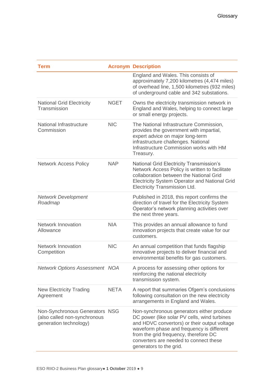| Term                                                                                     |             | <b>Acronym Description</b>                                                                                                                                                                                                                                                                           |
|------------------------------------------------------------------------------------------|-------------|------------------------------------------------------------------------------------------------------------------------------------------------------------------------------------------------------------------------------------------------------------------------------------------------------|
|                                                                                          |             | England and Wales. This consists of<br>approximately 7,200 kilometres (4,474 miles)<br>of overhead line, 1,500 kilometres (932 miles)<br>of underground cable and 342 substations.                                                                                                                   |
| <b>National Grid Electricity</b><br>Transmission                                         | <b>NGET</b> | Owns the electricity transmission network in<br>England and Wales, helping to connect large<br>or small energy projects.                                                                                                                                                                             |
| National Infrastructure<br>Commission                                                    | <b>NIC</b>  | The National Infrastructure Commission,<br>provides the government with impartial,<br>expert advice on major long-term<br>infrastructure challenges. National<br>Infrastructure Commission works with HM<br>Treasury.                                                                                |
| <b>Network Access Policy</b>                                                             | <b>NAP</b>  | National Grid Electricity Transmission's<br>Network Access Policy is written to facilitate<br>collaboration between the National Grid<br><b>Electricity System Operator and National Grid</b><br>Electricity Transmission Ltd.                                                                       |
| <b>Network Development</b><br>Roadmap                                                    |             | Published in 2018, this report confirms the<br>direction of travel for the Electricity System<br>Operator's network planning activities over<br>the next three years.                                                                                                                                |
| Network Innovation<br>Allowance                                                          | <b>NIA</b>  | This provides an annual allowance to fund<br>innovation projects that create value for our<br>customers.                                                                                                                                                                                             |
| <b>Network Innovation</b><br>Competition                                                 | <b>NIC</b>  | An annual competition that funds flagship<br>innovative projects to deliver financial and<br>environmental benefits for gas customers.                                                                                                                                                               |
| <b>Network Options Assessment NOA</b>                                                    |             | A process for assessing other options for<br>reinforcing the national electricity<br>transmission system.                                                                                                                                                                                            |
| <b>New Electricity Trading</b><br>Agreement                                              | <b>NETA</b> | A report that summaries Ofgem's conclusions<br>following consultation on the new electricity<br>arrangements in England and Wales.                                                                                                                                                                   |
| Non-Synchronous Generators NSG<br>(also called non-synchronous<br>generation technology) |             | Non-synchronous generators either produce<br>DC power (like solar PV cells, wind turbines<br>and HDVC convertors) or their output voltage<br>waveform phase and frequency is different<br>from the grid frequency, therefore DC<br>converters are needed to connect these<br>generators to the grid. |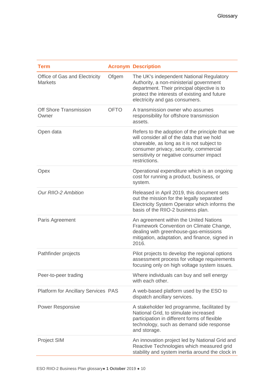| <b>Term</b>                                     |             | <b>Acronym Description</b>                                                                                                                                                                                                                        |
|-------------------------------------------------|-------------|---------------------------------------------------------------------------------------------------------------------------------------------------------------------------------------------------------------------------------------------------|
| Office of Gas and Electricity<br><b>Markets</b> | Ofgem       | The UK's independent National Regulatory<br>Authority, a non-ministerial government<br>department. Their principal objective is to<br>protect the interests of existing and future<br>electricity and gas consumers.                              |
| Off Shore Transmission<br>Owner                 | <b>OFTO</b> | A transmission owner who assumes<br>responsibility for offshore transmission<br>assets.                                                                                                                                                           |
| Open data                                       |             | Refers to the adoption of the principle that we<br>will consider all of the data that we hold<br>shareable, as long as it is not subject to<br>consumer privacy, security, commercial<br>sensitivity or negative consumer impact<br>restrictions. |
| Opex                                            |             | Operational expenditure which is an ongoing<br>cost for running a product, business, or<br>system.                                                                                                                                                |
| <b>Our RIIO-2 Ambition</b>                      |             | Released in April 2019, this document sets<br>out the mission for the legally separated<br>Electricity System Operator which informs the<br>basis of the RIIO-2 business plan.                                                                    |
| Paris Agreement                                 |             | An agreement within the United Nations<br>Framework Convention on Climate Change,<br>dealing with greenhouse-gas-emissions<br>mitigation, adaptation, and finance, signed in<br>2016.                                                             |
| Pathfinder projects                             |             | Pilot projects to develop the regional options<br>assessment process for voltage requirements<br>focusing only on high voltage system issues.                                                                                                     |
| Peer-to-peer trading                            |             | Where individuals can buy and sell energy<br>with each other.                                                                                                                                                                                     |
| <b>Platform for Ancillary Services PAS</b>      |             | A web-based platform used by the ESO to<br>dispatch ancillary services.                                                                                                                                                                           |
| <b>Power Responsive</b>                         |             | A stakeholder led programme, facilitated by<br>National Grid, to stimulate increased<br>participation in different forms of flexible<br>technology, such as demand side response<br>and storage.                                                  |
| Project SIM                                     |             | An innovation project led by National Grid and<br>Reactive Technologies which measured grid<br>stability and system inertia around the clock in                                                                                                   |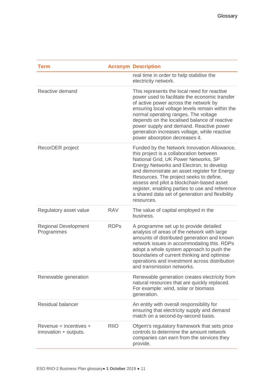| <b>Term</b>                                       |             | <b>Acronym Description</b>                                                                                                                                                                                                                                                                                                                                                                                                             |
|---------------------------------------------------|-------------|----------------------------------------------------------------------------------------------------------------------------------------------------------------------------------------------------------------------------------------------------------------------------------------------------------------------------------------------------------------------------------------------------------------------------------------|
|                                                   |             | real time in order to help stabilise the<br>electricity network.                                                                                                                                                                                                                                                                                                                                                                       |
| Reactive demand                                   |             | This represents the local need for reactive<br>power used to facilitate the economic transfer<br>of active power across the network by<br>ensuring local voltage levels remain within the<br>normal operating ranges. The voltage<br>depends on the localised balance of reactive<br>power supply and demand. Reactive power<br>generation increases voltage, while reactive<br>power absorption decreases it.                         |
| RecorDER project                                  |             | Funded by the Network Innovation Allowance,<br>this project is a collaboration between<br>National Grid, UK Power Networks, SP<br>Energy Networks and Electron, to develop<br>and demonstrate an asset register for Energy<br>Resources. The project seeks to define,<br>assess and pilot a blockchain-based asset<br>register, enabling parties to use and reference<br>a shared data set of generation and flexibility<br>resources. |
| Regulatory asset value                            | <b>RAV</b>  | The value of capital employed in the<br>business.                                                                                                                                                                                                                                                                                                                                                                                      |
| <b>Regional Development</b><br>Programmes         | <b>RDPs</b> | A programme set up to provide detailed<br>analysis of areas of the network with large<br>amounts of distributed generation and known<br>network issues in accommodating this. RDPs<br>adopt a whole system approach to push the<br>boundaries of current thinking and optimise<br>operations and investment across distribution<br>and transmission networks.                                                                          |
| Renewable generation                              |             | Renewable generation creates electricity from<br>natural resources that are quickly replaced.<br>For example: wind, solar or biomass<br>generation.                                                                                                                                                                                                                                                                                    |
| <b>Residual balancer</b>                          |             | An entity with overall responsibility for<br>ensuring that electricity supply and demand<br>match on a second-by-second basis.                                                                                                                                                                                                                                                                                                         |
| $Revenue = incentives +$<br>innovation + outputs. | <b>RIIO</b> | Ofgem's regulatory framework that sets price<br>controls to determine the amount network<br>companies can earn from the services they<br>provide.                                                                                                                                                                                                                                                                                      |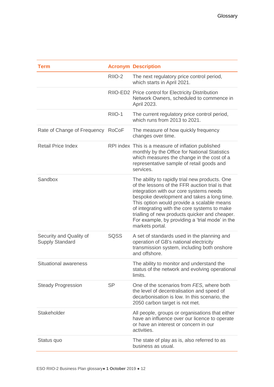| <b>Term</b>                                       |             | <b>Acronym Description</b>                                                                                                                                                                                                                                                                                                                                                                                       |
|---------------------------------------------------|-------------|------------------------------------------------------------------------------------------------------------------------------------------------------------------------------------------------------------------------------------------------------------------------------------------------------------------------------------------------------------------------------------------------------------------|
|                                                   | RIIO-2      | The next regulatory price control period,<br>which starts in April 2021.                                                                                                                                                                                                                                                                                                                                         |
|                                                   |             | RIIO-ED2 Price control for Electricity Distribution<br>Network Owners, scheduled to commence in<br>April 2023.                                                                                                                                                                                                                                                                                                   |
|                                                   | RIIO-1      | The current regulatory price control period,<br>which runs from 2013 to 2021.                                                                                                                                                                                                                                                                                                                                    |
| Rate of Change of Frequency RoCoF                 |             | The measure of how quickly frequency<br>changes over time.                                                                                                                                                                                                                                                                                                                                                       |
| <b>Retail Price Index</b>                         |             | RPI index This is a measure of inflation published<br>monthly by the Office for National Statistics<br>which measures the change in the cost of a<br>representative sample of retail goods and<br>services.                                                                                                                                                                                                      |
| Sandbox                                           |             | The ability to rapidly trial new products. One<br>of the lessons of the FFR auction trial is that<br>integration with our core systems needs<br>bespoke development and takes a long time.<br>This option would provide a scalable means<br>of integrating with the core systems to make<br>trialling of new products quicker and cheaper.<br>For example, by providing a 'trial mode' in the<br>markets portal. |
| Security and Quality of<br><b>Supply Standard</b> | <b>SQSS</b> | A set of standards used in the planning and<br>operation of GB's national electricity<br>transmission system, including both onshore<br>and offshore.                                                                                                                                                                                                                                                            |
| <b>Situational awareness</b>                      |             | The ability to monitor and understand the<br>status of the network and evolving operational<br>limits.                                                                                                                                                                                                                                                                                                           |
| <b>Steady Progression</b>                         | <b>SP</b>   | One of the scenarios from FES, where both<br>the level of decentralisation and speed of<br>decarbonisation is low. In this scenario, the<br>2050 carbon target is not met.                                                                                                                                                                                                                                       |
| Stakeholder                                       |             | All people, groups or organisations that either<br>have an influence over our licence to operate<br>or have an interest or concern in our<br>activities.                                                                                                                                                                                                                                                         |
| Status quo                                        |             | The state of play as is, also referred to as<br>business as usual.                                                                                                                                                                                                                                                                                                                                               |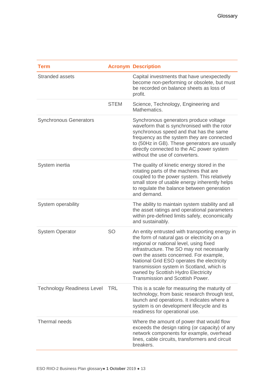| <b>Term</b>                       |             | <b>Acronym Description</b>                                                                                                                                                                                                                                                                                                                                                                                     |
|-----------------------------------|-------------|----------------------------------------------------------------------------------------------------------------------------------------------------------------------------------------------------------------------------------------------------------------------------------------------------------------------------------------------------------------------------------------------------------------|
| <b>Stranded assets</b>            |             | Capital investments that have unexpectedly<br>become non-performing or obsolete, but must<br>be recorded on balance sheets as loss of<br>profit.                                                                                                                                                                                                                                                               |
|                                   | <b>STEM</b> | Science, Technology, Engineering and<br>Mathematics.                                                                                                                                                                                                                                                                                                                                                           |
| <b>Synchronous Generators</b>     |             | Synchronous generators produce voltage<br>waveform that is synchronised with the rotor<br>synchronous speed and that has the same<br>frequency as the system they are connected<br>to (50Hz in GB). These generators are usually<br>directly connected to the AC power system<br>without the use of converters.                                                                                                |
| System inertia                    |             | The quality of kinetic energy stored in the<br>rotating parts of the machines that are<br>coupled to the power system. This relatively<br>small store of usable energy inherently helps<br>to regulate the balance between generation<br>and demand.                                                                                                                                                           |
| System operability                |             | The ability to maintain system stability and all<br>the asset ratings and operational parameters<br>within pre-defined limits safely, economically<br>and sustainably.                                                                                                                                                                                                                                         |
| <b>System Operator</b>            | <b>SO</b>   | An entity entrusted with transporting energy in<br>the form of natural gas or electricity on a<br>regional or national level, using fixed<br>infrastructure. The SO may not necessarily<br>own the assets concerned. For example,<br>National Grid ESO operates the electricity<br>transmission system in Scotland, which is<br>owned by Scottish Hydro Electricity<br><b>Transmission and Scottish Power.</b> |
| <b>Technology Readiness Level</b> | <b>TRL</b>  | This is a scale for measuring the maturity of<br>technology, from basic research through test,<br>launch and operations. It indicates where a<br>system is on development lifecycle and its<br>readiness for operational use.                                                                                                                                                                                  |
| Thermal needs                     |             | Where the amount of power that would flow<br>exceeds the design rating (or capacity) of any<br>network components for example, overhead<br>lines, cable circuits, transformers and circuit<br>breakers.                                                                                                                                                                                                        |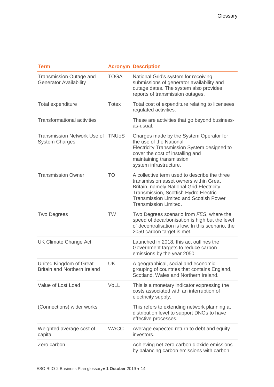| <b>Term</b>                                                     |              | <b>Acronym Description</b>                                                                                                                                                                                                                                     |
|-----------------------------------------------------------------|--------------|----------------------------------------------------------------------------------------------------------------------------------------------------------------------------------------------------------------------------------------------------------------|
| <b>Transmission Outage and</b><br><b>Generator Availability</b> | <b>TOGA</b>  | National Grid's system for receiving<br>submissions of generator availability and<br>outage dates. The system also provides<br>reports of transmission outages.                                                                                                |
| Total expenditure                                               | <b>Totex</b> | Total cost of expenditure relating to licensees<br>regulated activities.                                                                                                                                                                                       |
| <b>Transformational activities</b>                              |              | These are activities that go beyond business-<br>as-usual.                                                                                                                                                                                                     |
| Transmission Network Use of TNUoS<br><b>System Charges</b>      |              | Charges made by the System Operator for<br>the use of the National<br>Electricity Transmission System designed to<br>cover the cost of installing and<br>maintaining transmission<br>system infrastructure.                                                    |
| <b>Transmission Owner</b>                                       | <b>TO</b>    | A collective term used to describe the three<br>transmission asset owners within Great<br>Britain, namely National Grid Electricity<br>Transmission, Scottish Hydro Electric<br><b>Transmission Limited and Scottish Power</b><br><b>Transmission Limited.</b> |
| <b>Two Degrees</b>                                              | <b>TW</b>    | Two Degrees scenario from FES, where the<br>speed of decarbonisation is high but the level<br>of decentralisation is low. In this scenario, the<br>2050 carbon target is met.                                                                                  |
| <b>UK Climate Change Act</b>                                    |              | Launched in 2018, this act outlines the<br>Government targets to reduce carbon<br>emissions by the year 2050.                                                                                                                                                  |
| United Kingdom of Great<br><b>Britain and Northern Ireland</b>  | UK           | A geographical, social and economic<br>grouping of countries that contains England,<br>Scotland, Wales and Northern Ireland.                                                                                                                                   |
| Value of Lost Load                                              | VoLL         | This is a monetary indicator expressing the<br>costs associated with an interruption of<br>electricity supply.                                                                                                                                                 |
| (Connections) wider works                                       |              | This refers to extending network planning at<br>distribution level to support DNOs to have<br>effective processes.                                                                                                                                             |
| Weighted average cost of<br>capital                             | <b>WACC</b>  | Average expected return to debt and equity<br>investors.                                                                                                                                                                                                       |
| Zero carbon                                                     |              | Achieving net zero carbon dioxide emissions<br>by balancing carbon emissions with carbon                                                                                                                                                                       |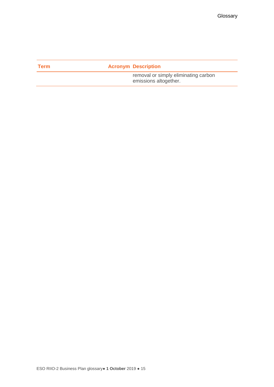| Term | <b>Acronym Description</b>                                    |
|------|---------------------------------------------------------------|
|      | removal or simply eliminating carbon<br>emissions altogether. |